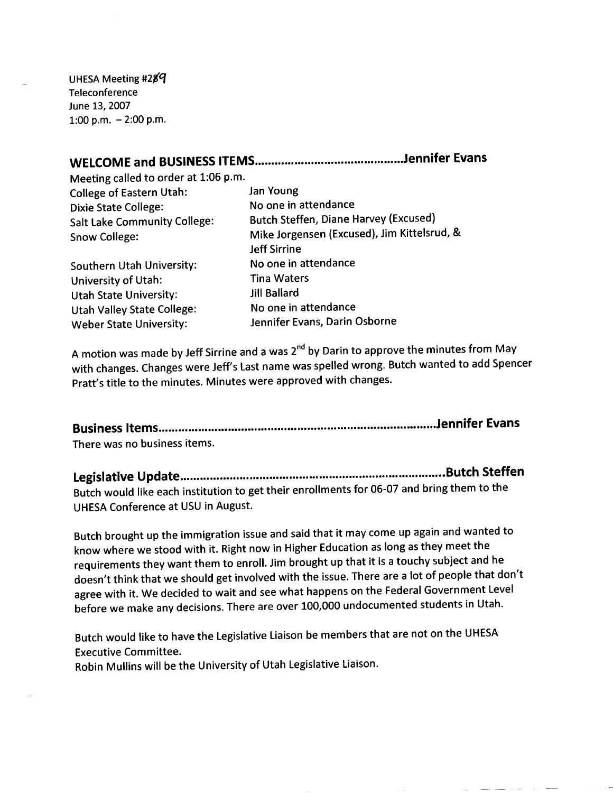UHESA Meeting #289 Teleconference June 13, 2007 1:00 p.m.  $-2:00$  p.m.

## **WELCOME and BUSINESS ITEMS Jennifer Evans**

Meeting called to order at 1:06 p.m. College of Eastern Utah: Jan Young Dixie State College: No one in attendance

Southern Utah University: No one in attendance University of Utah: Tina Waters Utah State University: Jill Ballard Utah Valley State College: No one in attendance Weber State University: Jennifer Evans, Darin Osborne

Salt Lake Community College: Butch Steffen, Diane Harvey (Excused) Snow College: Mike Jorgensen (Excused), Jim Kittelsrud, & Jeff Sirrine

A motion was made by Jeff Sirrine and a was 2<sup>nd</sup> by Darin to approve the minutes from May with changes. Changes were Jeff's Last name was spelled wrong. Butch wanted to add Spencer Pratt's title to the minutes. Minutes were approved with changes.

**Business Items Jennifer Evans** There was no business items.

**Legislative Update Butch Steffen** Butch would like each institution to get their enrollments for 06-07 and bring them to the UHESA Conference at USU in August.

Butch brought up the immigration issue and said that it may come up again and wanted to know where we stood with it. Right now in Higher Education as long as they meet the requirements they want them to enroll. Jim brought up that it is a touchy subject and he doesn't think that we should get involved with the issue. There are a lot of people that don't agree with it. We decided to wait and see what happens on the Federal Government Level before we make any decisions. There are over 100,000 undocumented students in Utah.

Butch would like to have the Legislative Liaison be members that are not on the UHESA Executive Committee.

Robin Mullins will be the University of Utah Legislative Liaison.